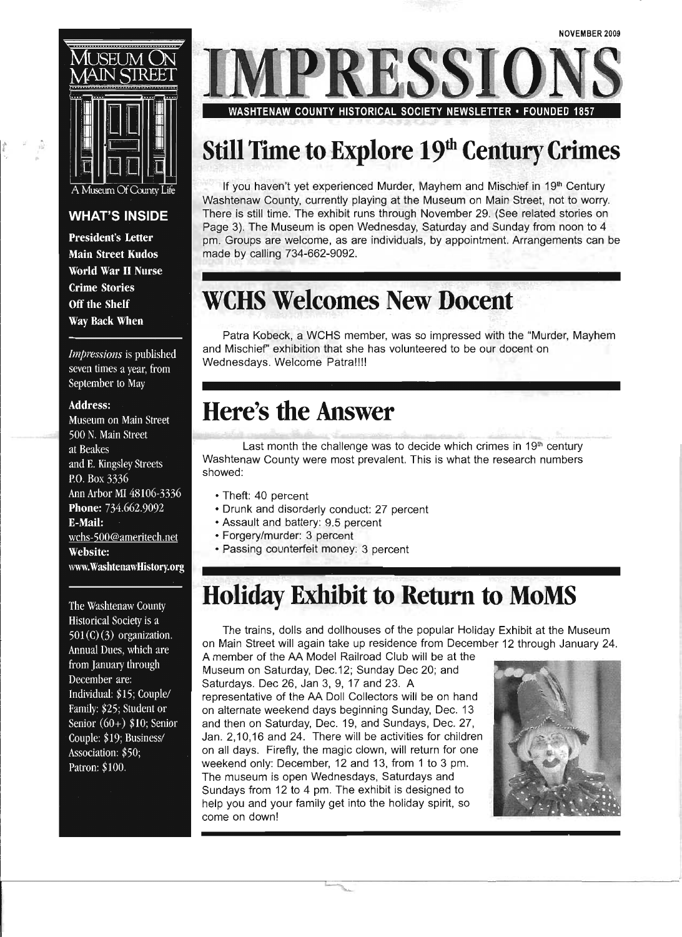

ŵ

#### **WHAT'S INSIDE**

**President's Letter Main Street Kudos** World War II Nurse **Crime Stories** Off the Shelf Way Back When

Impressions is published seven times a year, from September to May

#### **Address:**

Museum on Main Street 500 N. Main Street at Beakes and E. Kingsley Streets P.O. Box 3336 Ann Arbor MI 48106-3336 Phone: 734.662.9092 E-Mail: wchs-500@ameritech.net Website: www.WashtenawHistory.org

The Washtenaw County Historical Society is a  $501(C)(3)$  organization. Annual Dues, which are from January through December are: Individual: \$15; Couple/ Family: \$25; Student or Senior  $(60+)$  \$10; Senior Couple: \$19; Business/ Association: \$50; Patron: \$100.

RESSI WASHTENAW COUNTY HISTORICAL SOCIETY NEWSLETTER • FOUNDED

### **Still Time** to Explore **19th Century Crimes**

If you haven't yet experienced Murder, Mayhem and Mischief in 19<sup>th</sup> Century Washtenaw County, currently playing at the Museum on Main Street, not to worry. There is still time. The exhibit runs through November 29. (See related stories on Page 3). The Museum is open Wednesday, Saturday and Sunday from noon to 4 pm. Groups are welcome, as are individuals, by appointment. Arrangements can be made by calling 734-662-9092.

### **WCHS Welcomes New Docent**

Patra Kobeck, a WCHS member, was so impressed with the "Murder, Mayhem and Mischief' exhibition that she has volunteered to be our docent on Wednesdays. Welcome Patra!!!!

### **Here's the Answer**

Last month the challenge was to decide which crimes in  $19<sup>th</sup>$  century Washtenaw County were most prevalent. This is what the research numbers showed:

- Theft: 40 percent
- Drunk and disorderly conduct: 27 percent
- Assault and battery: 9.5 percent
- Forgery/murder: 3 percent
- Passing counterfeit money: 3 percent

### **Holiday Exhibit to Return to MoMS**

The trains, dolls and dollhouses of the popular Holiday Exhibit at the Museum on Main Street will again take up residence from December 12 through January 24.

A member of the AA Model Railroad Club will be at the Museum on Saturday, Dec.12; Sunday Dec 20; and Saturdays. Dec 26, Jan 3, 9, 17 and 23. A representative of the AA Doll Collectors will be on hand on alternate weekend days beginning Sunday, Dec. 13 and then on Saturday, Dec. 19, and Sundays, Dec. 27, Jan. 2,10,16 and 24. There will be activities for children on all days. Firefly, the magic clown, will return for one weekend only: December, 12 and 13, from 1 to 3 pm. The museum is open Wednesdays, Saturdays and Sundays from 12 to 4 pm. The exhibit is designed to help you and your family get into the holiday spirit, so come on down!

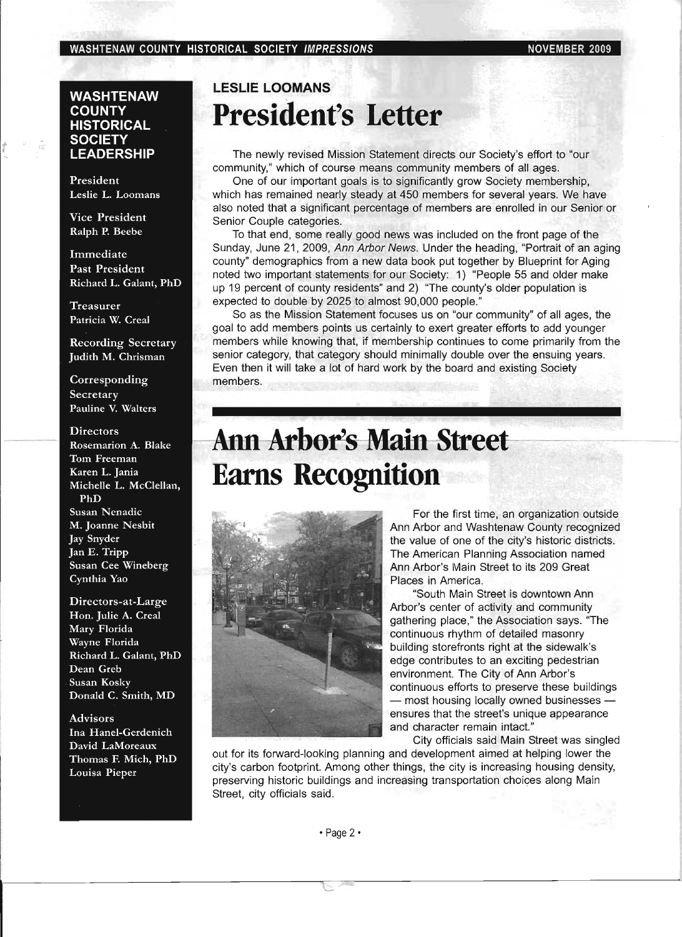#### **WASHTENAW COUNTY HISTORICAL SOCIETY LEADERSHIP**

President Leslie L. Loomans

**Vice President** Ralph P. Beebe

Immediate Past President Richard L. Galant, PhD

**Treasurer** Patricia W. Creal

**Recording Secretary** Judith M. Chrisman

Corresponding Secretary Pauline V. Walters

#### **Directors** Rosemarion A. Blake Tom Freeman Karen L. Jania Michelle L. McClellan, PhD Susan Nenadic M. Joanne Nesbit **Jay Snyder** Jan E. Tripp Susan Cee Wineberg Cynthia Yao

Directors-at-Large Hon. Julie A. Creal Mary Florida Wayne Florida Richard L. Galant, PhD Dean Greb Susan Kosky Donald C. Smith, MD

**Advisors** Ina Hanel-Gerdenich David LaMoreaux Thomas F. Mich, PhD Louisa Pieper

### **LESLIE LOOMANS President's Letter**

The newly revised Mission Statement directs our Society's effort to "our community," which of course means community members of all ages.

One of our important goals is to significantly grow Society membership, which has remained nearly steady at 450 members for several years. We have also noted that a significant percentage of members are enrolled in our Senior or Senior Couple categories.

To that end, some really good news was included on the front page of the Sunday, June 21, 2009, Ann Arbor News. Under the heading, "Portrait of an aging county" demographics from a new data book put together by Blueprint for Aging noted two important statements for our Society: 1) "People 55 and older make up 19 percent of county residents" and 2) "The county's older population is expected to double by 2025 to almost 90,000 people."

So as the Mission Statement focuses us on "our community" of all ages, the goal to add members points us certainly to exert greater efforts to add younger members while knowing that, if membership continues to come primarily from the senior category, that category should minimally double over the ensuing years. Even then it will take a lot of hard work by the board and existing Society members.

## **Ann Arbor's Main Street Earns Recognition**



For the first time, an organization outside Ann Arbor and Washtenaw County recognized the value of one of the city's historic districts. The American Planning Association named Ann Arbor's Main Street to its 209 Great Places in America.

"South Main Street is downtown Ann Arbor's center of activity and community gathering place," the Association says. "The continuous rhythm of detailed masonry building storefronts right at the sidewalk's edge contributes to an exciting pedestrian environment. The City of Ann Arbor's continuous efforts to preserve these buildings - most housing locally owned businesses ensures that the street's unique appearance and character remain intact."

City officials said Main Street was singled

out for its forward-looking planning and development aimed at helping lower the city's carbon footprint. Among other things, the city is increasing housing density, preserving historic buildings and increasing transportation choices along Main Street, city officials said.

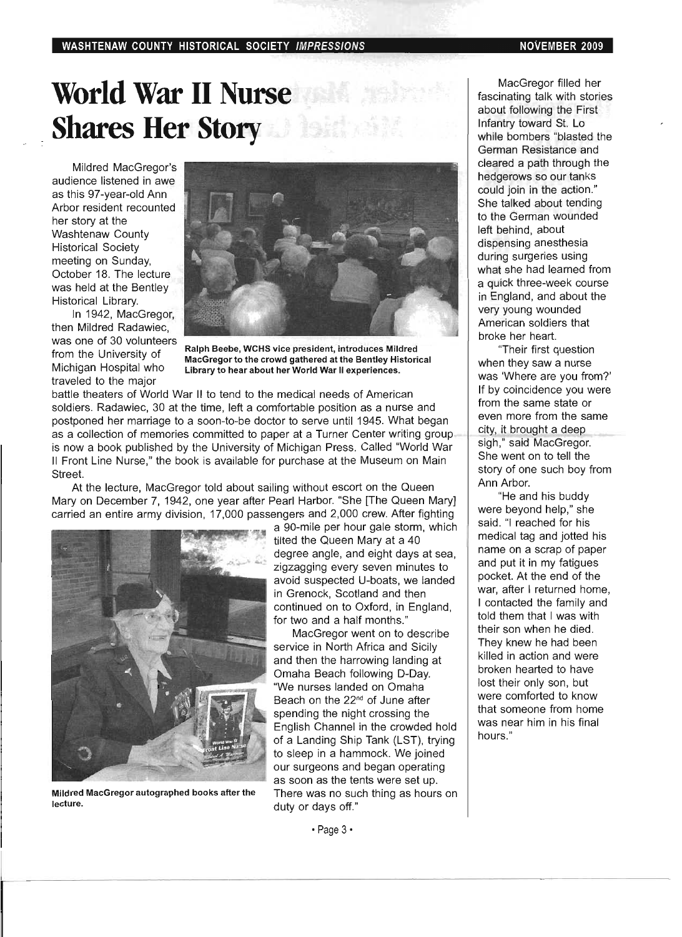# World War II Nurse **Shares Her Story Mark**

Mildred MacGregor's audience listened in awe as this 97-year-old Ann Arbor resident recounted her story at the Washtenaw County Historical Society meeting on Sunday, October 18. The lecture was held at the Bentley Historical Library.

In 1942, MacGregor, then Mildred Radawiec, was one of 30 volunteers from the University of Michigan Hospital who traveled to the major



Ralph Beebe, WCHS vice president, introduces Mildred MacGregor to the crowd gathered at the Bentley Historical Library to hear about her World War II experiences.

battle theaters of World War II to tend to the medical needs of American soldiers. Radawiec, 30 at the time, left a comfortable position as a nurse and postponed her marriage to a soon-to-be doctor to serve until 1945. What began as a collection of memories committed to paper at a Turner Center writing group is now a book published by the University of Michigan Press. Called "World War II Front Line Nurse," the book is available for purchase at the Museum on Main Street.

At the lecture, MacGregor told about sailing without escort on the Queen Mary on December 7, 1942, one year after Pearl Harbor. "She [The Queen Mary] carried an entire army division, 17,000 passengers and 2,000 crew. After fighting a 90-mile per hour gale storm, which



Mildred MacGregor autographed books after the There was no such thing as hours on lecture. **duty or days off.**"

tilted the Queen Mary at a 40 degree angle, and eight days at sea, zigzagging every seven minutes to avoid suspected U-boats, we landed in Grenock, Scotland and then continued on to Oxford, in England, for two and a half months."

MacGregor went on to describe service in North Africa and Sicily and then the harrowing landing at Omaha Beach following D-Day. "We nurses landed on Omaha Beach on the 22nd of June after spending the night crossing the English Channel in the crowded hold of a Landing Ship Tank (LST), trying to sleep in a hammock. We joined our surgeons and began operating as soon as the tents were set up.

MacGregor filled her fascinating talk with stories about following the First Infantry toward St. Lo while bombers "blasted the German Resistance and cleared a path through the hedgerows so our tanks could join in the action." She talked about tending to the German wounded left behind, about dispensing anesthesia during surgeries using what she had learned from a quick three-week course in England, and about the very young wounded American soldiers that broke her heart.

"Their first question when they saw a nurse was 'Where are you from?' If by coincidence you were from the same state or even more from the same city, it brought a deep sigh," said MacGregor. She went on to tell the story of one such boy from Ann Arbor.

"He and his buddy were beyond help," she said. "I reached for his medical tag and jotted his name on a scrap of paper and put it in my fatigues pocket. At the end of the war, after I returned home, I contacted the family and told them that I was with their son when he died. They knew he had been killed in action and were broken hearted to have lost their only son, but were comforted to know that someone from home was near him in his final hours."

• Page 3·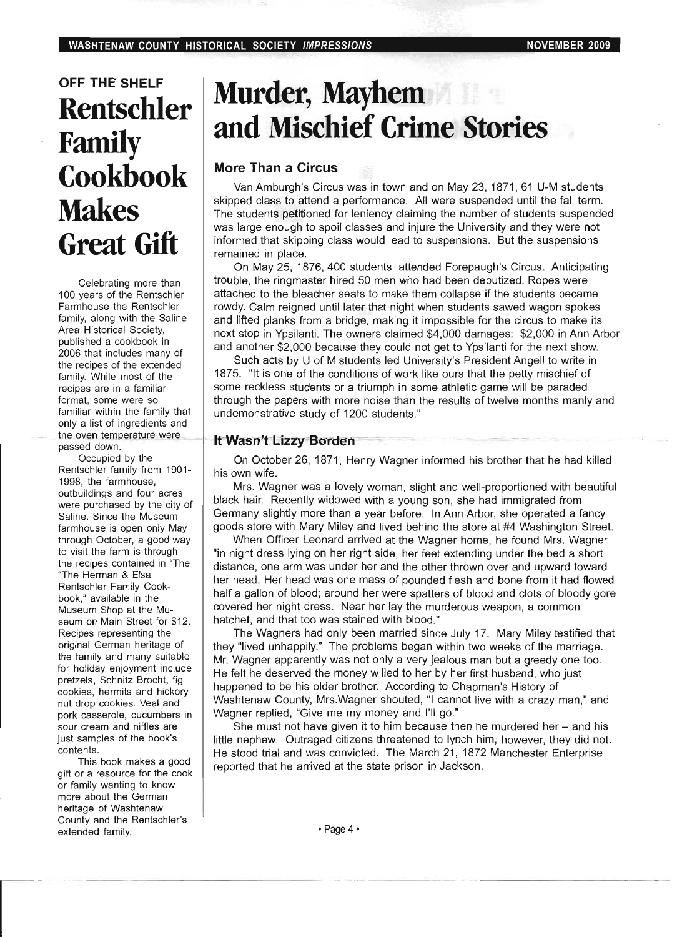### **OFF THE SHELF Rentschler Family Cookbook Makes Great Gift**

Celebrating more than 100 years of the Rentschler Farmhouse the Rentschler family, along with the Saline Area Historical Society, published a cookbook in 2006 that includes many of the recipes of the extended family. While most of the recipes are in a familiar format, some were so familiar within the family that only a list of ingredients and the oven temperature were passed down.

Occupied by the Rentschler family from 1901- 1998, the farmhouse, outbuildings and four acres were purchased by the city of Saline. Since the Museum farmhouse is open only May through October, a good way to visit the farm is through the recipes contained in 'The "The Herman & Elsa Rentschler Family Cookbook," available in the Museum Shop at the Museum on Main Street for \$12. Recipes representing the original German heritage of the family and many suitable for holiday enjoyment include pretzels, Schnitz Brocht, fig cookies, hermits and hickory nut drop cookies. Veal and pork casserole, cucumbers in sour cream and nifties are just samples of the book's contents.

This book makes a good gift or a resource for the cook or family wanting to know more about the German heritage of Washtenaw County and the Rentschler's extended family.

## **Murder, Mayhem and Mischief Crime Stories**

#### **More Than a Circus**

Van Amburgh's Circus was in town and on May 23, 1871, 61 U-M students skipped class to attend a performance. All were suspended until the fall term. The students petitioned for leniency claiming the number of students suspended was large enough to spoil classes and injure the University and they were not informed that skipping class would lead to suspensions. But the suspensions remained in place.

On May 25, 1876, 400 students attended Forepaugh's Circus. Anticipating trouble, the ringmaster hired 50 men who had been deputized. Ropes were attached to the bleacher seats to make them collapse if the students became rowdy. Calm reigned until later that night when students sawed wagon spokes and lifted planks from a bridge, making it impossible for the circus to make its next stop in Ypsilanti. The owners claimed \$4,000 damages: \$2,000 in Ann Arbor and another \$2,000 because they could not get to Ypsilanti for the next show.

Such acts by U of M students led University's President Angell to write in 1875, "It is one of the conditions of work like ours that the petty mischief of some reckless students or a triumph in some athletic game will be paraded through the papers with more noise than the results of twelve months manly and undemonstrative study of 1200 students."

#### **It Wasn't Lizzy Borden**

On October 26, 1871, Henry Wagner informed his brother that he had killed his own wife.

Mrs. Wagner was a lovely woman, slight and well-proportioned with beautiful black hair. Recently widowed with a young son, she had immigrated from Germany slightly more than a year before. In Ann Arbor, she operated a fancy goods store with Mary Miley and lived behind the store at #4 Washington Street.

When Officer Leonard arrived at the Wagner home, he found Mrs. Wagner "in night dress lying on her right side, her feet extending under the bed a short distance, one arm was under her and the other thrown over and upward toward her head. Her head was one mass of pounded flesh and bone from it had flowed half a gallon of blood; around her were spatters of blood and clots of bloody gore covered her night dress. Near her lay the murderous weapon, a common hatchet, and that too was stained with blood."

The Wagners had only been married since July 17. Mary Miley testified that they "lived unhappily." The problems began within two weeks of the marriage. Mr. Wagner apparently was not only a very jealous man but a greedy one too. He felt he deserved the money willed to her by her first husband, who just happened to be his older brother. According to Chapman's History of Washtenaw County, Mrs.Wagner shouted, "I cannot live with a crazy man," and Wagner replied, "Give me my money and I'll go."

She must not have given it to him because then he murdered her  $-$  and his little nephew. Outraged citizens threatened to lynch him; however, they did not. He stood trial and was convicted. The March 21, 1872 Manchester Enterprise reported that he arrived at the state prison in Jackson.

• Page 4·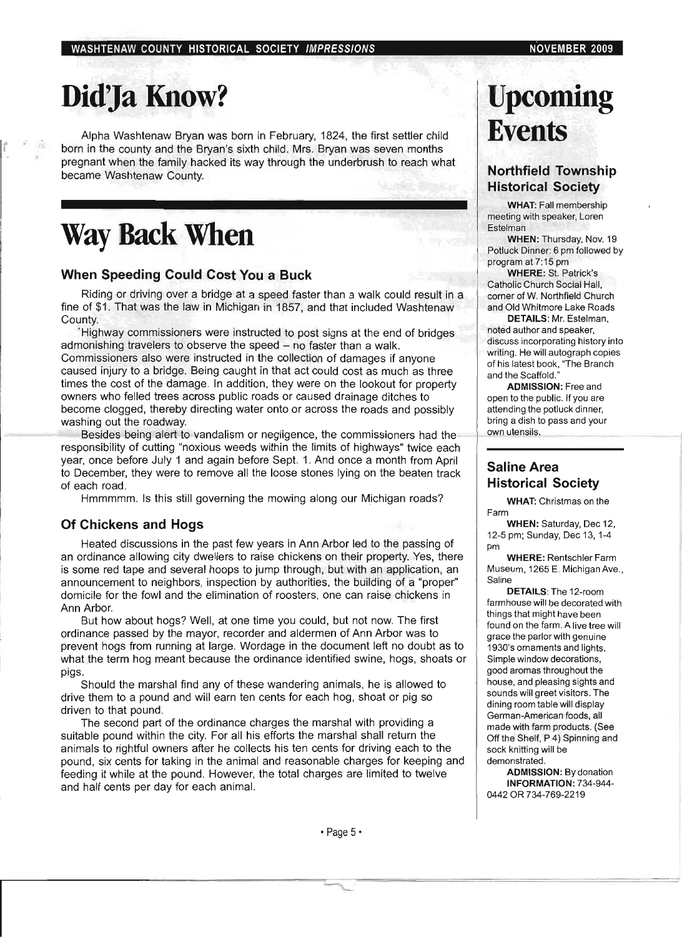# Did'Ja Know?

*t* 

Alpha Washtenaw Bryan was born in February, 1824, the first settler child born in the county and the Bryan's sixth child. Mrs. Bryan was seven months pregnant when the family hacked its way through the underbrush to reach what became Washtenaw County.

## **Way Back When**

#### **When Speeding Could Cost You a Buck**

Riding or driving over a bridge at a speed faster than a walk could result in a fine of \$1. That was the law in Michigan in 1857, and that included Washtenaw County.

·Highway commissioners were instructed to post signs at the end of bridges admonishing travelers to observe the speed - no faster than a walk. Commissioners also were instructed in the collection of damages if anyone caused injury to a bridge. Being caught in that act could cost as much as three times the cost of the damage. In addition, they were on the lookout for property owners who felled trees across public roads or caused drainage ditches to become clogged, thereby directing water onto or across the roads and possibly washing out the roadway.

Besides being alert to vandalism or negligence, the commissioners had the responsibility of cutting "noxious weeds within the limits of highways" twice each year, once before July 1 and again before Sept. 1. And once a month from April to December, they were to remove all the loose stones lying on the beaten track of each road.

Hmmmmm. Is this still governing the mowing along our Michigan roads?

#### **Of Chickens and Hogs**

Heated discussions in the past few years in Ann Arbor led to the passing of an ordinance allowing city dwellers to raise chickens on their property. Yes, there is some red tape and several hoops to jump through, but with an application, an announcement to neighbors, inspection by authorities, the building of a "proper" domicile for the fowl and the elimination of roosters, one can raise chickens in Ann Arbor.

But how about hogs? Well, at one time you could, but not now. The first ordinance passed by the mayor, recorder and aldermen of Ann Arbor was to prevent hogs from running at large. Wordage in the document left no doubt as to what the term hog meant because the ordinance identified swine, hogs, shoats or pigs.

Should the marshal find any of these wandering animals, he is allowed to drive them to a pound and will earn ten cents for each hog, shoat or pig so driven to that pound.

The second part of the ordinance charges the marshal with providing a suitable pound within the city. For all his efforts the marshal shall return the animals to rightful owners after he collects his ten cents for driving each to the pound, six cents for taking in the animal and reasonable charges for keeping and feeding it while at the pound. However, the total charges are limited to twelve and half cents per day for each animal.

## **Upcoming Events**

#### **Northfield Township Historical Society**

WHAT: Fall membership meeting with speaker, Loren Estelman

WHEN: Thursday, Nov. 19 Potluck Dinner: 6 pm followed by program at 7:15 pm

WHERE: St. Patrick's Catholic Church Social Hall, corner of W. Northfield Church and Old Whitmore Lake Roads

DETAILS: Mr. Estelman, noted author and speaker, discuss incorporating history into writing. He will autograph copies of his latest book, "The Branch and the Scaffold."

ADMISSION: Free and open to the public. If you are attending the potluck dinner, bring a dish to pass and your own utensils.

#### **Saline Area Historical Society**

WHAT: Christmas on the Farm

WHEN: Saturday, Dec 12, 12-5 pm; Sunday, Dec 13,1-4 pm

WHERE: Rentschler Farm Museum, 1265 E. Michigan Ave. , Saline

DETAILS: The 12-room farmhouse will be decorated with things that might have been found on the farm. A live tree will grace the parlor with genuine 1930's ornaments and lights. Simple window decorations, good aromas throughout the house, and pleasing sights and sounds will greet visitors. The dining room table will display German-American foods, all made with farm products. (See Off the Shelf, P 4) Spinning and sock knitting will be demonstrated.

ADMISSION: By donation INFORMATION: 734-944- 0442 OR 734-769-2219

 $\cdot$  Page 5 $\cdot$